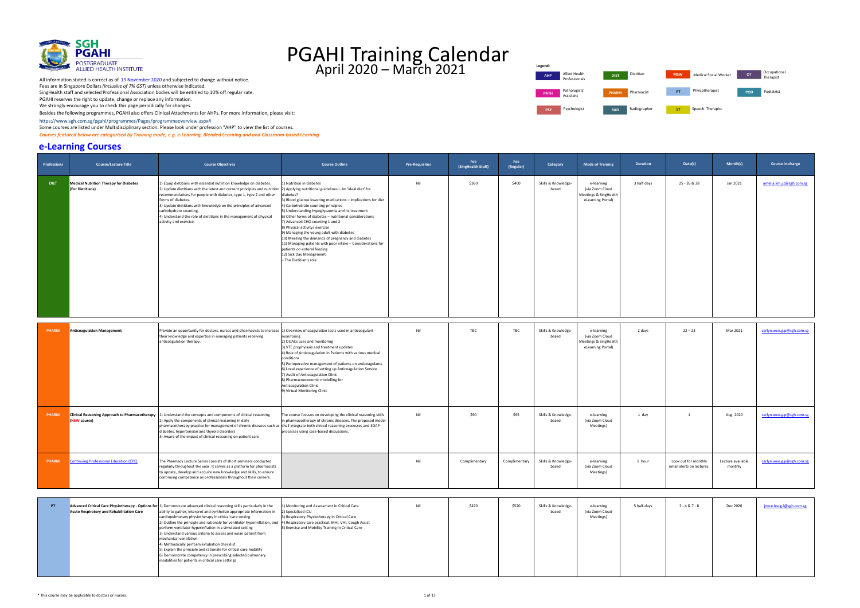

 Besides the following programmes, PGAHI also offers Clinical Attachments for AHPs. For more inf[ormati](https://www.sgh.com.sg/pgahi/programmes/Pages/programmeoverview.aspx)on, please visit:  [https://www.sgh.com.sg/pgahi/programmes/Pages/programmeoverview.aspx#](https://www.sgh.com.sg/pgahi/programmes/Pages/programmeoverview.aspx)

Some courses are listed under Multidisciplinary section. Please look under profession "AHP" to view the list of courses.

 *Courses featured below are categorised by Training mode, e.g. e-Learning, Blended Learning and and Classroom-based Learning* 

#### **e-Learning Courses**

| <b>Professions</b> | <b>Course/Lecture Title</b>                                       | <b>Course Objectives</b>                                                                                                                                                                                                                                                                                                                                                                                                                                                                                                                                                                                                                                                                                                                   | <b>Course Outline</b>                                                                                                                                                                                                                                                                                                                                                                                                                                                                                                                                                                                                                               | <b>Pre-Requisites</b> | Fee<br>(SingHealth Staff) | Fee<br>(Regular) | Category                     | <b>Mode of Training</b>                                                     | <b>Duration</b> | Date(s)                                           | Month(s)                     | Course in-charge          |
|--------------------|-------------------------------------------------------------------|--------------------------------------------------------------------------------------------------------------------------------------------------------------------------------------------------------------------------------------------------------------------------------------------------------------------------------------------------------------------------------------------------------------------------------------------------------------------------------------------------------------------------------------------------------------------------------------------------------------------------------------------------------------------------------------------------------------------------------------------|-----------------------------------------------------------------------------------------------------------------------------------------------------------------------------------------------------------------------------------------------------------------------------------------------------------------------------------------------------------------------------------------------------------------------------------------------------------------------------------------------------------------------------------------------------------------------------------------------------------------------------------------------------|-----------------------|---------------------------|------------------|------------------------------|-----------------------------------------------------------------------------|-----------------|---------------------------------------------------|------------------------------|---------------------------|
| <b>DIET</b>        | <b>Medical Nutrition Therapy for Diabetes</b><br>(For Dietitians) | 1) Equip dietitians with essential nutrition knowledge on diabetes.<br>2) Update dietitians with the latest and current principles and nutrition<br>recommendations for people with diabetes, type 1, type 2 and other<br>forms of diabetes.<br>3) Update dietitians with knowledge on the principles of advanced<br>carbohydrate counting.<br>4) Understand the role of dietitians in the management of physical<br>activity and exercise.                                                                                                                                                                                                                                                                                                | 1) Nutrition in diabetes<br>2) Applying nutritional guidelines - An 'ideal diet' for<br>diabetes?<br>3) Blood glucose lowering medications - implications for diet<br>4) Carbohydrate counting principles<br>5) Understanding hypoglycaemia and its treatment<br>6) Other forms of diabetes - nutritional considerations<br>7) Advanced CHO counting 1 and 2<br>8) Physical activity/ exercise<br>9) Managing the young adult with diabetes<br>10) Meeting the demands of pregnancy and diabetes<br>11) Managing patients with poor intake - Considerations for<br>patients on enteral feeding<br>12) Sick Day Management<br>- The Dietitian's role | Nil                   | \$360                     | \$400            | Skills & Knowledge-<br>based | e-learning<br>(via Zoom Cloud<br>Meetings & SingHealth<br>eLearning Portal) | 3 half days     | 25 - 26 & 28                                      | Jan 2021                     | amelia.lim.j.t@sgh.com.sg |
| <b>PHARM</b>       | <b>Anticoagulation Management</b>                                 | Provide an opportunity for doctors, nurses and pharmacists to increase [1] Overview of coagulation tests used in anticoagulant<br>their knowledge and expertise in managing patients receiving<br>anticoagulation therapy.                                                                                                                                                                                                                                                                                                                                                                                                                                                                                                                 | monitoring<br>2) DOACs uses and monitoring<br>3) VTE prophylaxis and treatment updates<br>4) Role of Anticoagulation in Patients with various medical<br>conditions<br>5) Perioperative management of patients on anticoagulants<br>6) Local experience of setting up Anticoagulation Service<br>7) Audit of Anticoagulation Clinic<br>8) Pharmacoeconomic modelling for<br>Anticoagulation Clinic<br>9) Virtual Monitoring Clinic                                                                                                                                                                                                                  | Nil                   | TBC                       | TBC              | Skills & Knowledge-<br>based | e-learning<br>(via Zoom Cloud<br>Meetings & SingHealth<br>eLearning Portal) | 2 days          | $22 - 23$                                         | Mar 2021                     | carlyn.wee.g.p@sgh.com.sg |
| <b>PHARM</b>       | (NEW course)                                                      | <b>Clinical Reasoning Approach to Pharmacotherapy</b> 1) Understand the concepts and components of clinical reasoning<br>2) Apply the components of clinical reasoning in daily<br>pharmacotherapy practice for management of chronic diseases such as<br>diabetes, hypertension and thyroid disorders<br>3) Aware of the impact of clinical reasoning on patient care                                                                                                                                                                                                                                                                                                                                                                     | The course focuses on developing the clinical reasoning skills<br>in pharmacotherapy of chronic diseases. The proposed model<br>shall integrate both clinical reasoning processes and SOAP<br>processes using case-based discussions.                                                                                                                                                                                                                                                                                                                                                                                                               | Nil                   | \$90                      | \$95             | Skills & Knowledge-<br>based | e-learning<br>(via Zoom Cloud<br>Meetings)                                  | 1 day           | 1                                                 | Aug 2020                     | carlyn.wee.g.p@sgh.com.sg |
| <b>PHARM</b>       | <b>Continuing Professional Education (CPE)</b>                    | The Pharmacy Lecture Series consists of short seminars conducted<br>regularly throughout the year. It serves as a platform for pharmacists<br>to update, develop and acquire new knowledge and skills, to ensure<br>:ontinuing competence as professionals throughout their careers.                                                                                                                                                                                                                                                                                                                                                                                                                                                       |                                                                                                                                                                                                                                                                                                                                                                                                                                                                                                                                                                                                                                                     | Nil                   | Complimentary             | Complimentary    | Skills & Knowledge-<br>based | e-learning<br>(via Zoom Cloud<br>Meetings)                                  | 1 hour          | Look out for monthly<br>email alerts on lectures. | Lecture available<br>monthly | carlyn.wee.g.p@sgh.com.sg |
| PT                 | <b>Acute Respiratory and Rehabilitation Care</b>                  | Advanced Critical Care Physiotherapy - Options for 1) Demonstrate advanced clinical reasoning skills particularly in the<br>ability to gather, interpret and synthetize appropriate information in<br>cardiopulmonary physiotherapy in critical care setting<br>2) Outline the principle and rationale for ventilator hyperinflation, and<br>perform ventilator hyperinflation in a simulated setting<br>3) Understand various criteria to assess and wean patient from<br>mechanical ventilation<br>4) Methodically perform extubation checklist<br>5) Explain the principle and rationale for critical care mobility<br>6) Demonstrate competency in prescribing selected pulmonary<br>modalities for patients in critical care settings | 1) Monitoring and Assessment in Critical Care<br>2) Specialised ICU<br>3) Respiratory Physiotherapy in Critical Care<br>4) Respiratory care practical: MHI, VHI, Cough Assist<br>5) Exercise and Mobility Training in Critical Care                                                                                                                                                                                                                                                                                                                                                                                                                 | Nil                   | \$470                     | \$520            | Skills & Knowledge-<br>based | e-learning<br>(via Zoom Cloud<br>Meetings)                                  | 5 half-days     | $2 - 4 & 7 - 8$                                   | Dec 2020                     | joyce.lee.g.l@sgh.com.sg  |

Professionals **AHP DIET MSW OT**  $\blacksquare$  Radiographer **Legend: PATH** Pathologists<br>Assistant **PSY** Psychologist **RAD** 

All information stated is correct as of 13 November 2020 and subjected to change without notice. Fees are in Singapore Dollars *(inclusive of 7% GST)* unless otherwise indicated. SingHealth staff and selected Professional Association bodies will be entitled to 10% off regular rate. PGAHI reserves the right to update, change or replace any information.

We strongly encourage you to check this page periodically for changes.

| Allied Health<br>Professionals | <b>DIET</b>  | Dietitian    | <b>MSW</b> | Medical Social Worker | <b>OT</b> | Occupational<br>Therapist |
|--------------------------------|--------------|--------------|------------|-----------------------|-----------|---------------------------|
| Pathologists'<br>Assistant     | <b>PHARM</b> | Pharmacist   | PT         | Physiotherapist       | POD       | Podiatrist                |
| Psychologist                   | <b>RAD</b>   | Radiographer | <b>ST</b>  | Speech Therapist      |           |                           |

| ys | $2 - 4 & 7 - 8$ | Dec 2020 | joyce.lee.g.l@sgh.com.sg |
|----|-----------------|----------|--------------------------|
|    |                 |          |                          |
|    |                 |          |                          |
|    |                 |          |                          |
|    |                 |          |                          |
|    |                 |          |                          |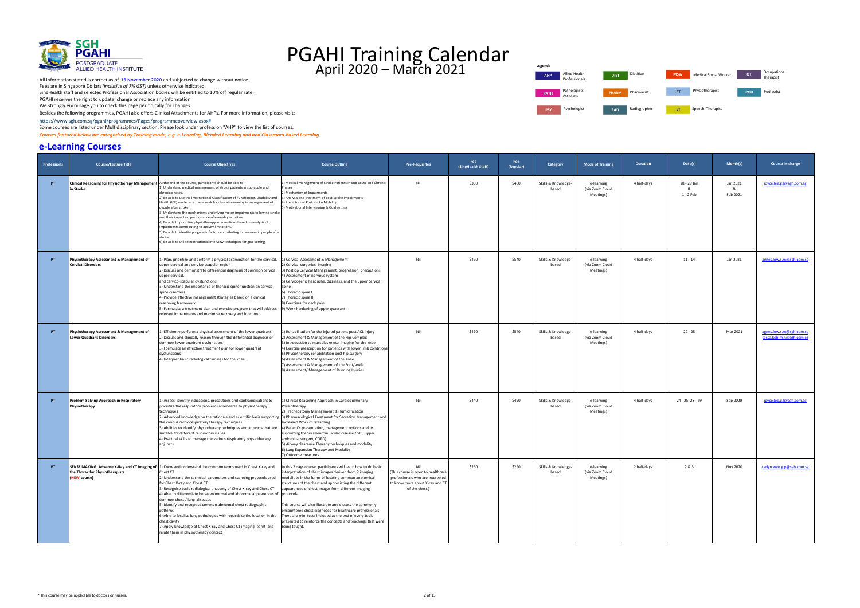

Besides the following programmes, PGAHI also offers Clinical Attachments for AHPs. For more inf[ormati](https://www.sgh.com.sg/pgahi/programmes/Pages/programmeoverview.aspx)on, please visit:

 [https://www.sgh.com.sg/pgahi/programmes/Pages/programmeoverview.aspx#](https://www.sgh.com.sg/pgahi/programmes/Pages/programmeoverview.aspx)

Some courses are listed under Multidisciplinary section. Please look under profession "AHP" to view the list of courses.

 *Courses featured below are categorised by Training mode, e.g. e-Learning, Blended Learning and and Classroom-based Learning* 

#### **e-Learning Courses**



| <b>Professions</b> | <b>Course/Lecture Title</b>                                                                                            | <b>Course Objectives</b>                                                                                                                                                                                                                                                                                                                                                                                                                                                                                                                                                                                                                                                                                                                   | <b>Course Outline</b>                                                                                                                                                                                                                                                                                                                                                                                                                                                                                                                                                | <b>Pre-Requisites</b>                                                                                                             | Fee<br>(SingHealth Staff) | Fee<br>(Regular) | Category                     | <b>Mode of Training</b>                    | <b>Duration</b> | Date(s)                       | Month(s)                  | Course in-charge                                     |
|--------------------|------------------------------------------------------------------------------------------------------------------------|--------------------------------------------------------------------------------------------------------------------------------------------------------------------------------------------------------------------------------------------------------------------------------------------------------------------------------------------------------------------------------------------------------------------------------------------------------------------------------------------------------------------------------------------------------------------------------------------------------------------------------------------------------------------------------------------------------------------------------------------|----------------------------------------------------------------------------------------------------------------------------------------------------------------------------------------------------------------------------------------------------------------------------------------------------------------------------------------------------------------------------------------------------------------------------------------------------------------------------------------------------------------------------------------------------------------------|-----------------------------------------------------------------------------------------------------------------------------------|---------------------------|------------------|------------------------------|--------------------------------------------|-----------------|-------------------------------|---------------------------|------------------------------------------------------|
| PT                 | Clinical Reasoning for Physiotherapy Management At the end of the course, participants should be able to:<br>in Stroke | 1) Understand medical management of stroke patients in sub-acute and<br>chronic phases.<br>2) Be able to use the International Classification of Functioning, Disability and<br>Health (ICF) model as a framework for clinical reasoning in management of<br>people after stroke.<br>3) Understand the mechanisms underlying motor impairments following stroke<br>and their impact on performance of everyday activities.<br>4) Be able to prioritise physiotherapy interventions based on analysis of<br>impairments contributing to activity limitations.<br>5) Be able to identify prognostic factors contributing to recovery in people after<br>stroke.<br>6) Be able to utilise motivational interview techniques for goal setting. | ) Medical Management of Stroke Patients in Sub-acute and Chronic<br>Phases<br>2) Mechanism of Impairments<br>3) Analysis and treatment of post-stroke impairments<br>4) Predictors of Post stroke Mobility<br>5) Motivational Interviewing & Goal setting                                                                                                                                                                                                                                                                                                            | Nil                                                                                                                               | \$360                     | \$400            | Skills & Knowledge-<br>based | e-learning<br>(via Zoom Cloud<br>Meetings) | 4 half-days     | 28 - 29 Jan<br>&<br>1 - 2 Feb | Jan 2021<br>&<br>Feb 2021 | joyce.lee.g.l@sgh.com.sg                             |
| PT                 | Physiotherapy Assessment & Management of<br><b>Cervical Disorders</b>                                                  | 1) Plan, prioritize and perform a physical examination for the cervical,<br>upper cervical and cervico-scapular region<br>2) Discuss and demonstrate differential diagnosis of common cervical,<br>upper cervical,<br>and cervico-scapular dysfunctions<br>3) Understand the importance of thoracic spine function on cervical<br>spine disorders<br>4) Provide effective management strategies based on a clinical<br>reasoning framework<br>5) Formulate a treatment plan and exercise program that will address<br>relevant impairments and maximise recovery and function                                                                                                                                                              | 1) Cervical Assessment & Management<br>2) Cervical surgeries, Imaging<br>3) Post op Cervical Management, progression, precautions<br>4) Assessment of nervous system<br>5) Cervicogenic headache, dizziness, and the upper cervical<br>6) Thoracic spine I<br>7) Thoracic spine II<br>8) Exercises for neck pain<br>9) Work hardening of upper quadrant                                                                                                                                                                                                              | Nil                                                                                                                               | \$490                     | \$540            | Skills & Knowledge-<br>based | e-learning<br>(via Zoom Cloud<br>Meetings) | 4 half-days     | $11 - 14$                     | Jan 2021                  | agnes.low.s.m@sgh.com.sg                             |
| PT                 | Physiotherapy Assessment & Management of<br><b>Lower Quadrant Disorders</b>                                            | 1) Efficiently perform a physical assessment of the lower quadrant.<br>2) Discuss and clinically reason through the differential diagnosis of<br>common lower quadrant dysfunction.<br>3) Formulate an effective treatment plan for lower quadrant<br>dysfunctions<br>4) Interpret basic radiological findings for the knee                                                                                                                                                                                                                                                                                                                                                                                                                | ) Rehabilitation for the injured patient post ACL injury<br>2) Assessment & Management of the Hip Complex<br>3) Introduction to musculoskeletal imaging for the knee<br>4) Exercise prescription for patients with lower limb conditions<br>5) Physiotherapy rehabilitation post hip surgery<br>6) Assessment & Management of the Knee<br>7) Assessment & Management of the Foot/ankle<br>8) Assessment/ Management of Running Injuries                                                                                                                              | Nil                                                                                                                               | \$490                     | \$540            | Skills & Knowledge-<br>based | e-learning<br>(via Zoom Cloud<br>Meetings) | 4 half-days     | $22 - 25$                     | Mar 2021                  | agnes.low.s.m@sgh.com.sg<br>tessa.koh.m.h@sgh.com.sg |
| PT                 | <b>Problem Solving Approach in Respiratory</b><br>Physiotherapy                                                        | 1) Assess, identify indications, precautions and contraindications &<br>prioritize the respiratory problems amendable to physiotherapy<br>techniques<br>2) Advanced knowledge on the rationale and scientific basis supporting 3) Pharmacological Treatment for Secretion Management and<br>the various cardiorespiratory therapy techniques<br>3) Abilities to identify physiotherapy techniques and adjuncts that are<br>suitable for different respiratory issues<br>4) Practical skills to manage the various respiratory physiotherapy<br>adjuncts                                                                                                                                                                                    | L) Clinical Reasoning Approach in Cardiopulmonary<br>Physiotherapy<br>2) Tracheostomy Management & Humidification<br>Increased Work of Breathing<br>4) Patient's presentation, management options and its<br>supporting theory (Neuromuscular disease / SCI, upper<br>abdominal surgery, COPD)<br>5) Airway clearance Therapy techniques and modality<br>6) Lung Expansion Therapy and Modality<br>7) Outcome measures                                                                                                                                               | Nil                                                                                                                               | \$440                     | \$490            | Skills & Knowledge-<br>based | e-learning<br>(via Zoom Cloud<br>Meetings) | 4 half-days     | 24 - 25, 28 - 29              | Sep 2020                  | joyce.lee.g.l@sgh.com.sg                             |
| PT                 | the Thorax for Physiotherapists<br><b>NEW course</b>                                                                   | SENSE MAKING: Advance X-Ray and CT Imaging of 1) Know and understand the common terms used in Chest X-ray and<br>Chest CT<br>) Understand the technical parameters and scanning protocols used<br>for Chest X-ray and Chest CT<br>3) Recognise basic radiological anatomy of Chest X-ray and Chest CT<br>4) Able to differentiate between normal and abnormal appearences of protocols.<br>common chest / lung diseases<br>5) Identify and recognise common abnormal chest radiographic<br>oatterns<br>5) Able to localise lung pathologies with regards to the location in the<br>chest cavity<br>7) Apply knowledge of Chest X-ray and Chest CT imaging learnt and<br>relate them in physiotherapy context                               | In this 2 days course, participants will learn how to do basic<br>interpretation of chest images derived from 2 imaging<br>modalities in the forms of locating common anatomica<br>structures of the chest and appreciating the different<br>appearances of chest images from different imaging<br>This course will also illustrate and discuss the commonly<br>encountered chest diagnoses for healthcare professionals.<br>There are mini tests included at the end of every topic<br>presented to reinforce the concepts and teachings that were<br>being taught. | Nil<br>(This course is open to healthcare<br>professionals who are intereste<br>to know more about X-ray and CT<br>of the chest.) | \$260                     | \$290            | Skills & Knowledge-<br>based | e-learning<br>(via Zoom Cloud<br>Meetings  | 2 half-days     | 2 & 3                         | Nov 2020                  | carlyn.wee.g.p@sgh.com.sg                            |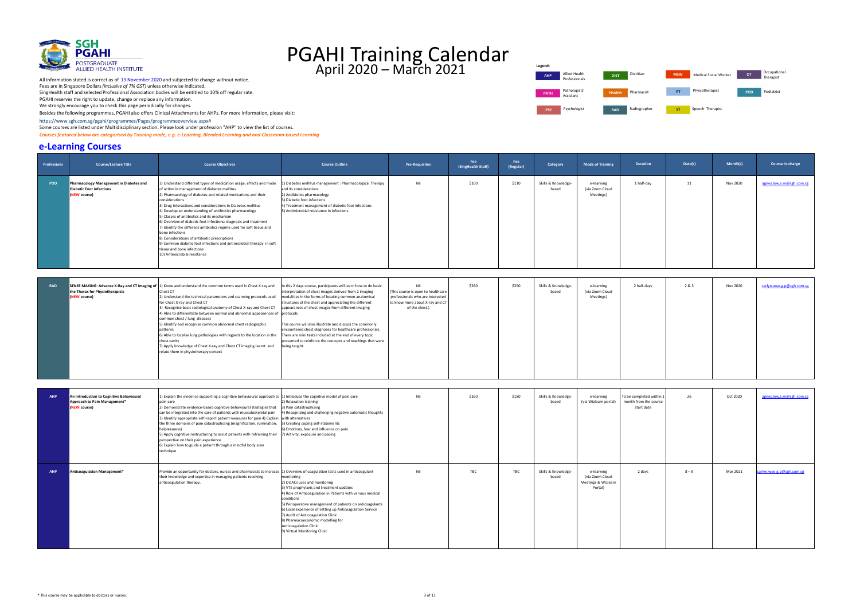

Besides the following programmes, PGAHI also offers Clinical Attachments for AHPs. For more inf[ormati](https://www.sgh.com.sg/pgahi/programmes/Pages/programmeoverview.aspx)on, please visit:

 [https://www.sgh.com.sg/pgahi/programmes/Pages/programmeoverview.aspx#](https://www.sgh.com.sg/pgahi/programmes/Pages/programmeoverview.aspx)

Some courses are listed under Multidisciplinary section. Please look under profession "AHP" to view the list of courses.

 *Courses featured below are categorised by Training mode, e.g. e-Learning, Blended Learning and and Classroom-based Learning* 

#### **e-Learning Courses**

Professionals **AHP DIET MSW OT** Pharmacist **PSY** Psychologist **RAD** Radiographer **ST** Speech Therapist **Legend: PATH** Pathologists<br>Assistant

All information stated is correct as of 13 November 2020 and subjected to change without notice. Fees are in Singapore Dollars *(inclusive of 7% GST)* unless otherwise indicated. SingHealth staff and selected Professional Association bodies will be entitled to 10% off regular rate. PGAHI reserves the right to update, change or replace any information.

We strongly encourage you to check this page periodically for changes.

| Allied Health<br>Professionals | <b>DIET</b>  | Dietitian    | <b>MSW</b> | Medical Social Worker | OT. | Occupational<br>Therapist |
|--------------------------------|--------------|--------------|------------|-----------------------|-----|---------------------------|
| Pathologists'<br>Assistant     | <b>PHARM</b> | Pharmacist   | PT         | Physiotherapist       | POD | Podiatrist                |
| Psychologist                   | <b>RAD</b>   | Radiographer | <b>ST</b>  | Speech Therapist      |     |                           |

| <b>Professions</b> | <b>Course/Lecture Title</b>                                                                      | <b>Course Objectives</b>                                                                                                                                                                                                                                                                                                                                                                                                                                                                                                                                                                                                                                                                                                                | <b>Course Outline</b>                                                                                                                                                                                                                                                                                                                                                                                                                                                                                                                                                 | <b>Pre-Requisites</b>                                                                                                             | Fee<br>(SingHealth Staff) | Fee<br>(Regular) | Category                     | <b>Mode of Training</b>                                         | <b>Duration</b>                                               | Date(s) | Month(s)        | Course in-charge          |
|--------------------|--------------------------------------------------------------------------------------------------|-----------------------------------------------------------------------------------------------------------------------------------------------------------------------------------------------------------------------------------------------------------------------------------------------------------------------------------------------------------------------------------------------------------------------------------------------------------------------------------------------------------------------------------------------------------------------------------------------------------------------------------------------------------------------------------------------------------------------------------------|-----------------------------------------------------------------------------------------------------------------------------------------------------------------------------------------------------------------------------------------------------------------------------------------------------------------------------------------------------------------------------------------------------------------------------------------------------------------------------------------------------------------------------------------------------------------------|-----------------------------------------------------------------------------------------------------------------------------------|---------------------------|------------------|------------------------------|-----------------------------------------------------------------|---------------------------------------------------------------|---------|-----------------|---------------------------|
| <b>POD</b>         | Pharmacology Management in Diabetes and<br><b>Diabetic Foot Infections</b><br>(NEW course)       | 1) Understand different types of medication usage, effects and mode<br>of action in management of diabetes mellitus<br>2) Pharmacology of diabetes and related medications and their<br>considerations<br>3) Drug interactions and considerations in Diabetes mellitus<br>4) Develop an understanding of antibiotics pharmacology<br>5) Classes of antibiotics and its mechanism<br>6) Overview of diabetic foot infections: diagnosis and treatment<br>7) Identify the different antibiotics regime used for soft tissue and<br>bone infections<br>8) Considerations of antibiotic prescriptions<br>9) Common diabetic foot infections and antimicrobial therapy in soft<br>tissue and bone infections<br>10) Antimicrobial resistance | 1) Diabetes mellitus management : Pharmacological Therapy<br>and its considerations<br>2) Antibiotics pharmacology<br>3) Diabetic foot infections<br>4) Treatment management of diabetic foot infections<br>5) Antimicrobial resistance in infections                                                                                                                                                                                                                                                                                                                 | Nil                                                                                                                               | \$100                     | \$110            | Skills & Knowledge-<br>based | e-learning<br>(via Zoom Cloud<br>Meetings)                      | 1 half-day                                                    | 11      | Nov 2020        | agnes.low.s.m@sgh.com.sg  |
| <b>RAD</b>         | SENSE MAKING: Advance X-Ray and CT Imaging of<br>the Thorax for Physiotherapists<br>(NEW course) | 1) Know and understand the common terms used in Chest X-ray and<br>Chest CT<br>2) Understand the technical parameters and scanning protocols used<br>for Chest X-ray and Chest CT<br>3) Recognise basic radiological anatomy of Chest X-ray and Chest CT<br>4) Able to differentiate between normal and abnormal appearences of protocols.<br>common chest / lung diseases<br>5) Identify and recognise common abnormal chest radiographic<br>patterns<br>6) Able to localise lung pathologies with regards to the location in the<br>chest cavity<br>7) Apply knowledge of Chest X-ray and Chest CT imaging learnt and<br>relate them in physiotherapy context                                                                         | In this 2 days course, participants will learn how to do basic<br>interpretation of chest images derived from 2 imaging<br>modalities in the forms of locating common anatomical<br>structures of the chest and appreciating the different<br>appearances of chest images from different imaging<br>This course will also illustrate and discuss the commonly<br>encountered chest diagnoses for healthcare professionals.<br>There are mini tests included at the end of every topic<br>presented to reinforce the concepts and teachings that were<br>being taught. | Nil<br>This course is open to healthcare<br>professionals who are interested<br>to know more about X-ray and CT<br>of the chest.) | \$260                     | \$290            | Skills & Knowledge-<br>based | e-learning<br>(via Zoom Cloud<br>Meetings)                      | 2 half-days                                                   | 2&3     | <b>Nov 2020</b> | carlyn.wee.g.p@sgh.com.sg |
| <b>AHP</b>         | An Introduction to Cognitive Behavioural<br>Approach to Pain Management*<br>(NEW course)         | 1) Explain the evidence supporting a cognitive behavioural approach to [1] Introduce the cognitive model of pain care<br>pain care<br>2) Demonstrate evidence-based cognitive behavioural strategies that<br>can be integrated into the care of patients with musculoskeletal pain<br>3) Identify appropriate self-report patient measures for pain 4) Explain<br>the three domains of pain catastrophizing (magnification, rumination,<br>helplessness)<br>5) Apply cognitive restructuring to assist patients with reframing their<br>perspective on their pain experience<br>6) Explain how to guide a patient through a mindful body scan<br>technique                                                                              | 2) Relaxation training<br>3) Pain catastrophizing<br>4) Recognizing and challenging negative automatic thoughts<br>with alternatives<br>5) Creating coping self-statements<br>6) Emotions, fear and influence on pain<br>7) Activity, exposure and pacing                                                                                                                                                                                                                                                                                                             | Nil                                                                                                                               | \$160                     | \$180            | Skills & Knowledge-<br>based | e-learning<br>(via Wizlearn portal)                             | To be completed within<br>month from the course<br>start date | 26      | Oct 2020        | agnes.low.s.m@sgh.com.sg  |
| <b>AHP</b>         | Anticoagulation Management*                                                                      | Provide an opportunity for doctors, nurses and pharmacists to increase 1) Overview of coagulation tests used in anticoagulant<br>heir knowledge and expertise in managing patients receiving<br>anticoagulation therapy.                                                                                                                                                                                                                                                                                                                                                                                                                                                                                                                | monitoring<br>2) DOACs uses and monitoring<br>3) VTE prophylaxis and treatment updates<br>4) Role of Anticoagulation in Patients with various medical<br>conditions<br>5) Perioperative management of patients on anticoagulants<br>6) Local experience of setting up Anticoagulation Service<br>7) Audit of Anticoagulation Clinic<br>8) Pharmacoeconomic modelling for<br><b>Anticoagulation Clinic</b><br>9) Virtual Monitoring Clinic                                                                                                                             | Nil                                                                                                                               | TBC                       | TBC              | Skills & Knowledge-<br>based | e-learning<br>(via Zoom Cloud<br>Meetings & Wizlearn<br>Portal) | 2 days                                                        | $8 - 9$ | Mar 2021        | carlyn.wee.g.p@sgh.com.sg |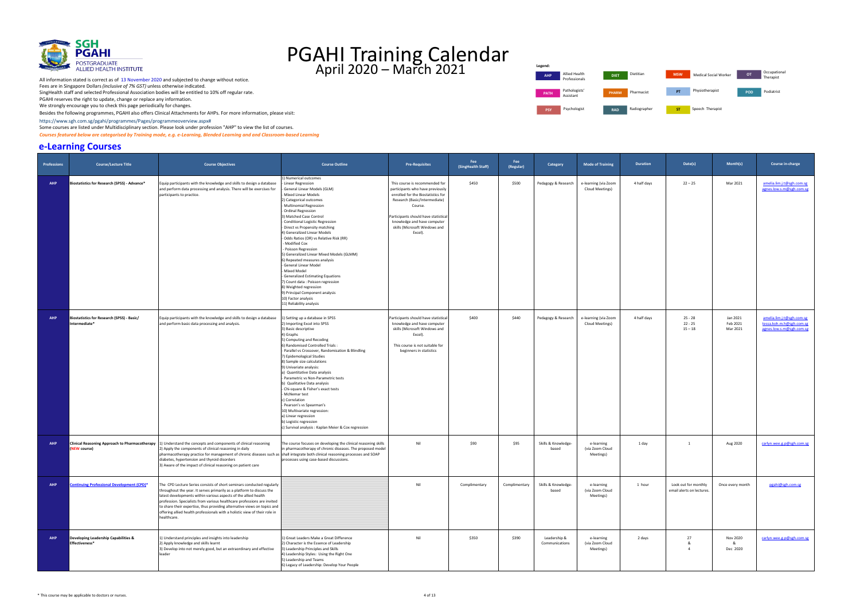

 Besides the following programmes, PGAHI also offers Clinical Attachments for AHPs. For more inf[ormati](https://www.sgh.com.sg/pgahi/programmes/Pages/programmeoverview.aspx)on, please visit:  [https://www.sgh.com.sg/pgahi/programmes/Pages/programmeoverview.aspx#](https://www.sgh.com.sg/pgahi/programmes/Pages/programmeoverview.aspx)

Some courses are listed under Multidisciplinary section. Please look under profession "AHP" to view the list of courses.

 *Courses featured below are categorised by Training mode, e.g. e-Learning, Blended Learning and and Classroom-based Learning* 

#### **e-Learning Courses**



| <b>Professions</b> | <b>Course/Lecture Title</b>                                 | <b>Course Objectives</b>                                                                                                                                                                                                                                                                                                                                                                                                                                              | <b>Course Outline</b>                                                                                                                                                                                                                                                                                                                                                                                                                                                                                                                                                                                                                                                                                          | <b>Pre-Requisites</b>                                                                                                                                                                                                                                                   | <b>Fee</b><br>(SingHealth Staff) | Fee<br>(Regular) | Category                       | <b>Mode of Training</b>                    | <b>Duration</b> | Date(s)                                          | Month(s)                         | Course in-charge                                                                  |
|--------------------|-------------------------------------------------------------|-----------------------------------------------------------------------------------------------------------------------------------------------------------------------------------------------------------------------------------------------------------------------------------------------------------------------------------------------------------------------------------------------------------------------------------------------------------------------|----------------------------------------------------------------------------------------------------------------------------------------------------------------------------------------------------------------------------------------------------------------------------------------------------------------------------------------------------------------------------------------------------------------------------------------------------------------------------------------------------------------------------------------------------------------------------------------------------------------------------------------------------------------------------------------------------------------|-------------------------------------------------------------------------------------------------------------------------------------------------------------------------------------------------------------------------------------------------------------------------|----------------------------------|------------------|--------------------------------|--------------------------------------------|-----------------|--------------------------------------------------|----------------------------------|-----------------------------------------------------------------------------------|
| AHP                | Biostatistics for Research (SPSS) - Advance*                | Equip participants with the knowledge and skills to design a database<br>and perform data processing and analysis. There will be exercises for<br>participants to practice.                                                                                                                                                                                                                                                                                           | ) Numerical outcomes<br>Linear Regression<br>General Linear Models (GLM)<br>Mixed Linear Models<br>2) Categorical outcomes<br>Multinomial Regression<br>Ordinal Regression<br>3) Matched Case Control<br>Conditional Logistic Regression<br>Direct vs Propensity matching<br>4) Generalized Linear Models<br>- Odds Ratios (OR) vs Relative Risk (RR)<br>- Modified Cox<br>- Poisson Regression<br>5) Generalized Linear Mixed Models (GLMM)<br>6) Repeated measures analysis<br>General Linear Model<br>Mixed Model<br>Generalized Estimating Equations<br>7) Count data : Poisson regression<br>8) Weighted regression<br>9) Principal Component analysis<br>10) Factor analysis<br>11) Reliability analysis | This course is recommended for<br>participants who have previously<br>enrolled for the Biostatistics for<br>Research (Basic/Intermediate)<br>Course.<br>Participants should have statistical<br>knowledge and have computer<br>skills (Microsoft Windows and<br>Excel). | \$450                            | \$500            | Pedagogy & Research            | e-learning (via Zoom<br>Cloud Meetings)    | 4 half days     | $22 - 25$                                        | Mar 2021                         | amelia.lim.j.t@sgh.com.sg<br>agnes.low.s.m@sgh.com.sg                             |
| AHP                | Biostatistics for Research (SPSS) - Basic/<br>Intermediate* | Equip participants with the knowledge and skills to design a database<br>and perform basic data processing and analysis.                                                                                                                                                                                                                                                                                                                                              | ) Setting up a database in SPSS<br>2) Importing Excel into SPSS<br>3) Basic descriptive<br>4) Graphs<br>5) Computing and Recoding<br>6) Randomised Controlled Trials:<br>Parallel vs Crossover, Randomisation & Blindling<br>7) Epidemological Studies<br>8) Sample size calculations<br>9) Univariate analysis:<br>a) Quantitative Data analysis<br>Parametric vs Non-Parametric tests<br>b) Qualitative Data analysis<br>- Chi-square & Fisher's exact tests<br>McNemar test<br>c) Correlation<br>- Pearson's vs Spearman's<br>10) Multivariate regression:<br>a) Linear regression<br>b) Logistic regression<br>c) Survival analysis : Kaplan Meier & Cox regression                                        | Participants should have statistica<br>knowledge and have computer<br>skills (Microsoft Windows and<br>Excel).<br>This course is not suitable for<br>beginners in statistics                                                                                            | \$400                            | \$440            | Pedagogy & Research            | e-learning (via Zoom<br>Cloud Meetings)    | 4 half days     | $25 - 28$<br>$22 - 25$<br>$15 - 18$              | Jan 2021<br>Feb 2021<br>Mar 2021 | amelia.lim.j.t@sgh.com.sg<br>tessa.koh.m.h@sgh.com.sg<br>agnes.low.s.m@sgh.com.sg |
| AHP                | (NEW course)                                                | Clinical Reasoning Approach to Pharmacotherapy [1] Understand the concepts and components of clinical reasoning<br>2) Apply the components of clinical reasoning in daily<br>pharmacotherapy practice for management of chronic diseases such as shall integrate both clinical reasoning processes and SOAP<br>diabetes, hypertension and thyroid disorders<br>3) Aware of the impact of clinical reasoning on patient care                                           | The course focuses on developing the clinical reasoning skills<br>in pharmacotherapy of chronic diseases. The proposed model<br>processes using case-based discussions.                                                                                                                                                                                                                                                                                                                                                                                                                                                                                                                                        | Nil                                                                                                                                                                                                                                                                     | \$90                             | \$95             | Skills & Knowledge-<br>based   | e-learning<br>(via Zoom Cloud<br>Meetings) | 1 day           | $\overline{1}$                                   | Aug 2020                         | carlyn.wee.g.p@sgh.com.sg                                                         |
| <b>AHP</b>         | <b>Continuing Professional Development (CPD)*</b>           | The CPD Lecture Series consists of short seminars conducted regularly<br>throughout the year. It serves primarily as a platform to discuss the<br>latest developments within various aspects of the allied health<br>profession. Specialists from various healthcare professions are invited<br>to share their expertise, thus providing alternative views on topics and<br>offering allied health professionals with a holistic view of their role in<br>healthcare. |                                                                                                                                                                                                                                                                                                                                                                                                                                                                                                                                                                                                                                                                                                                | Nil                                                                                                                                                                                                                                                                     | Complimentary                    | Complimentary    | Skills & Knowledge-<br>based   | e-learning<br>(via Zoom Cloud<br>Meetings) | 1 hour          | Look out for monthly<br>email alerts on lectures | Once every month                 | pgahi@sgh.com.sg                                                                  |
| <b>AHP</b>         | Developing Leadership Capabilities &<br>Effectiveness*      | 1) Understand principles and insights into leadership<br>2) Apply knowledge and skills learnt<br>3) Develop into not merely good, but an extraordinary and effective<br>leader                                                                                                                                                                                                                                                                                        | 1) Great Leaders Make a Great Difference<br>2) Character is the Essence of Leadership<br>3) Leadership Principles and Skills<br>4) Leadership Styles: Using the Right One<br>5) Leadership and Teams<br>6) Legacy of Leadership: Develop Your People                                                                                                                                                                                                                                                                                                                                                                                                                                                           | Nil                                                                                                                                                                                                                                                                     | \$350                            | \$390            | Leadership &<br>Communications | e-learning<br>(via Zoom Cloud<br>Meetings) | 2 days          | 27<br>-8<br>$\overline{a}$                       | <b>Nov 2020</b><br>&<br>Dec 2020 | carlyn.wee.g.p@sgh.com.sg                                                         |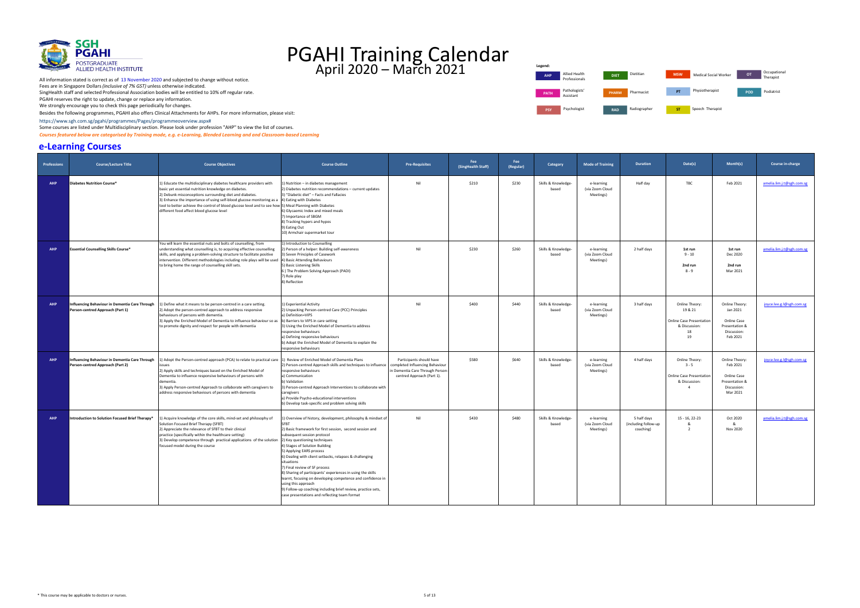

 Besides the following programmes, PGAHI also offers Clinical Attachments for AHPs. For more inf[ormati](https://www.sgh.com.sg/pgahi/programmes/Pages/programmeoverview.aspx)on, please visit:  [https://www.sgh.com.sg/pgahi/programmes/Pages/programmeoverview.aspx#](https://www.sgh.com.sg/pgahi/programmes/Pages/programmeoverview.aspx)

Some courses are listed under Multidisciplinary section. Please look under profession "AHP" to view the list of courses.

 *Courses featured below are categorised by Training mode, e.g. e-Learning, Blended Learning and and Classroom-based Learning* 

#### **e-Learning Courses**



| <b>Professions</b> | <b>Course/Lecture Title</b>                                                        | <b>Course Objectives</b>                                                                                                                                                                                                                                                                                                                                                                                                 | <b>Course Outline</b>                                                                                                                                                                                                                                                                                                                                                                                                                                                                                                                                                                                 | <b>Pre-Requisites</b>                                                                                                        | Fee<br>(SingHealth Staff) | Fee<br>(Regular) | Category                     | <b>Mode of Training</b>                    | <b>Duration</b>                                  | Date(s)                                                                                        | Month(s)                                                                                      | Course in-charge          |
|--------------------|------------------------------------------------------------------------------------|--------------------------------------------------------------------------------------------------------------------------------------------------------------------------------------------------------------------------------------------------------------------------------------------------------------------------------------------------------------------------------------------------------------------------|-------------------------------------------------------------------------------------------------------------------------------------------------------------------------------------------------------------------------------------------------------------------------------------------------------------------------------------------------------------------------------------------------------------------------------------------------------------------------------------------------------------------------------------------------------------------------------------------------------|------------------------------------------------------------------------------------------------------------------------------|---------------------------|------------------|------------------------------|--------------------------------------------|--------------------------------------------------|------------------------------------------------------------------------------------------------|-----------------------------------------------------------------------------------------------|---------------------------|
| <b>AHP</b>         | <b>Diabetes Nutrition Course*</b>                                                  | 1) Educate the multidisciplinary diabetes healthcare providers with<br>basic yet essential nutrition knowledge on diabetes.<br>2) Debunk misconceptions surrounding diet and diabetes.<br>3) Enhance the importance of using self-blood glucose monitoring as a<br>tool to better achieve the control of blood glucose level and to see how [5] Meal Planning with Diabetes<br>different food affect blood glucose level | ) Nutrition - in diabetes management<br>2) Diabetes nutrition recommendations - current updates<br>3) "Diabetic diet" - Facts and Fallacies<br>4) Eating with Diabetes<br>6) Glycaemic Index and mixed meals<br>7) Importance of SBGM<br>8) Tracking hypers and hypos<br>9) Eating Out<br>10) Armchair supermarket tour                                                                                                                                                                                                                                                                               | Nil                                                                                                                          | \$210                     | \$230            | Skills & Knowledge-<br>based | e-learning<br>(via Zoom Cloud<br>Meetings) | Half day                                         | TBC                                                                                            | Feb 2021                                                                                      | amelia.lim.j.t@sgh.com.sg |
| <b>AHP</b>         | <b>Essential Counselling Skills Course*</b>                                        | You will learn the essential nuts and bolts of counselling, from<br>understanding what counselling is, to acquiring effective counselling<br>skills, and applying a problem-solving structure to facilitate positive<br>intervention. Different methodologies including role plays will be used<br>to bring home the range of counselling skill sets.                                                                    | L) Introduction to Counselling<br>2) Person of a helper: Building self-awareness<br>3) Seven Principles of Casework<br>4) Basic Attending Behaviours<br>5) Basic Listening Skills<br>6) The Problem Solving Approach (PADI)<br>7) Role play<br>B) Reflection                                                                                                                                                                                                                                                                                                                                          | Nil                                                                                                                          | \$230                     | \$260            | Skills & Knowledge-<br>based | e-learning<br>(via Zoom Cloud<br>Meetings) | 2 half days                                      | 1st run<br>$9 - 10$<br>2nd run<br>$8 - 9$                                                      | 1st run<br>Dec 2020<br>2nd run<br>Mar 2021                                                    | amelia.lim.j.t@sgh.com.sg |
| <b>AHP</b>         | Influencing Behaviour in Dementia Care Through<br>Person-centred Approach (Part 1) | () Define what it means to be person-centred in a care setting.<br>2) Adopt the person-centred approach to address responsive<br>behaviours of persons with dementia.<br>3) Apply the Enriched Model of Dementia to influence behaviour so as<br>to promote dignity and respect for people with dementia                                                                                                                 | L) Experiential Activity<br>2) Unpacking Person-centred Care (PCC) Principles<br>a) Definition=VIPS<br>b) Barriers to VIPS in care setting<br>3) Using the Enriched Model of Dementia to address<br>responsive behaviours<br>a) Defining responsive behaviours<br>b) Adopt the Enriched Model of Dementia to explain the<br>responsive behaviours                                                                                                                                                                                                                                                     | Nil                                                                                                                          | \$400                     | \$440            | Skills & Knowledge-<br>based | e-learning<br>(via Zoom Cloud<br>Meetings) | 3 half days                                      | Online Theory<br>19 & 21<br><b>Online Case Presentation</b><br>& Discussion:<br>18<br>19       | Online Theory:<br>Jan 2021<br><b>Online Case</b><br>Presentation &<br>Discussion:<br>Feb 2021 | joyce.lee.g.l@sgh.com.sg  |
| <b>AHP</b>         | Influencing Behaviour in Dementia Care Through<br>Person-centred Approach (Part 2) | I) Adopt the Person-centred approach (PCA) to relate to practical care 1) Review of Enriched Model of Dementia Plans<br>ssues<br>2) Apply skills and techniques based on the Enriched Model of<br>Dementia to influence responsive behaviours of persons with<br>dementia.<br>3) Apply Person-centred Approach to collaborate with caregivers to<br>address responsive behaviours of persons with dementia               | 2) Person-centred Approach skills and techniques to influence<br>responsive behaviours<br>a) Communication<br>Validation<br>3) Person-centred Approach Interventions to collaborate with<br>caregivers<br>a) Provide Psycho-educational interventions<br>b) Develop task-specific and problem solving skills                                                                                                                                                                                                                                                                                          | Participants should have<br>completed Influencing Behaviour<br>in Dementia Care Through Person<br>centred Approach (Part 1). | \$580                     | \$640            | Skills & Knowledge-<br>based | e-learning<br>(via Zoom Cloud<br>Meetings) | 4 half days                                      | Online Theory<br>$3 - 5$<br><b>Online Case Presentation</b><br>& Discussion:<br>$\overline{4}$ | Online Theory:<br>Feb 2021<br><b>Online Case</b><br>Presentation &<br>Discussion:<br>Mar 2021 | joyce.lee.g.l@sgh.com.sg  |
| <b>AHP</b>         | Introduction to Solution Focused Brief Therapy*                                    | 1) Acquire knowledge of the core skills, mind-set and philosophy of<br>Solution Focused Brief Therapy (SFBT)<br>2) Appreciate the relevance of SFBT to their clinical<br>practice (specifically within the healthcare setting)<br>3) Develop competence through practical applications of the solution 2) Key questioning techniques<br>focused model during the course                                                  | L) Overview of history, development, philosophy & mindset of<br>2) Basic framework for first session, second session and<br>subsequent session protocol<br>4) Stages of Solution Building<br>5) Applying EARS process<br>6) Dealing with client setbacks, relapses & challenging<br>situations<br>7) Final review of SF process<br>8) Sharing of participants' experiences in using the skills<br>learnt, focusing on developing competence and confidence in<br>using this approach<br>9) Follow-up coaching including brief review, practice sets,<br>case presentations and reflecting team format | Nil                                                                                                                          | \$430                     | \$480            | Skills & Knowledge-<br>based | e-learning<br>(via Zoom Cloud<br>Meetings) | 5 half days<br>(including follow-up<br>coaching) | $15 - 16, 22 - 23$<br>&<br>$\overline{\phantom{a}}$                                            | Oct 2020<br>&<br><b>Nov 2020</b>                                                              | amelia.lim.j.t@sgh.com.sg |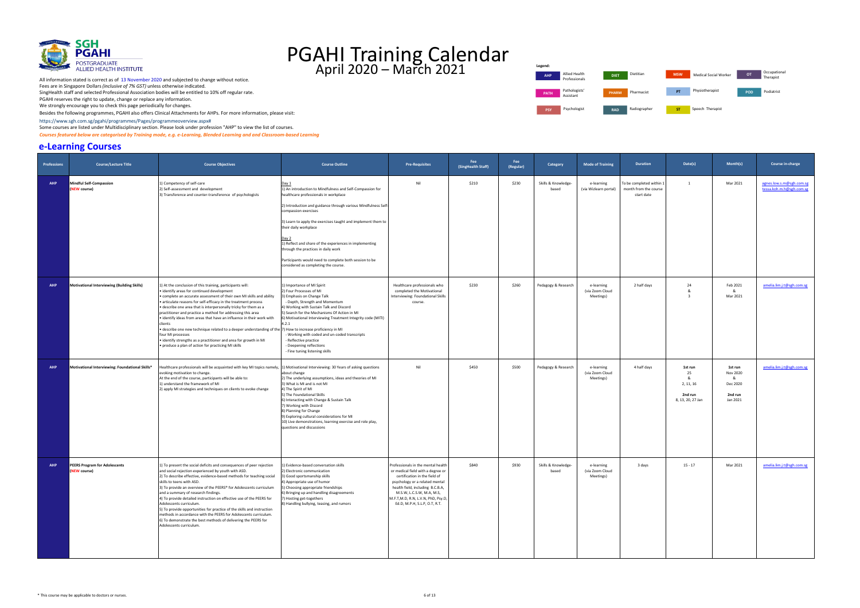

Besides the following programmes, PGAHI also offers Clinical Attachments for AHPs. For more inf[ormati](https://www.sgh.com.sg/pgahi/programmes/Pages/programmeoverview.aspx)on, please visit:

 [https://www.sgh.com.sg/pgahi/programmes/Pages/programmeoverview.aspx#](https://www.sgh.com.sg/pgahi/programmes/Pages/programmeoverview.aspx) Some courses are listed under Multidisciplinary section. Please look under profession "AHP" to view the list of courses.

 *Courses featured below are categorised by Training mode, e.g. e-Learning, Blended Learning and and Classroom-based Learning* 

#### **e-Learning Courses**



| <b>Professions</b> | <b>Course/Lecture Title</b>                          | <b>Course Objectives</b>                                                                                                                                                                                                                                                                                                                                                                                                                                                                                                                                                                                                                                                                                                          | <b>Course Outline</b>                                                                                                                                                                                                                                                                                                                                                                                                                                                                                       | <b>Pre-Requisites</b>                                                                                                                                                                                                                                                              | Fee<br>(SingHealth Staff) | Fee<br>(Regular) | Category                     | <b>Mode of Training</b>                    | <b>Duration</b>                                                 | Date(s)                                                    | Month(s)                                                    | Course in-charge                                     |
|--------------------|------------------------------------------------------|-----------------------------------------------------------------------------------------------------------------------------------------------------------------------------------------------------------------------------------------------------------------------------------------------------------------------------------------------------------------------------------------------------------------------------------------------------------------------------------------------------------------------------------------------------------------------------------------------------------------------------------------------------------------------------------------------------------------------------------|-------------------------------------------------------------------------------------------------------------------------------------------------------------------------------------------------------------------------------------------------------------------------------------------------------------------------------------------------------------------------------------------------------------------------------------------------------------------------------------------------------------|------------------------------------------------------------------------------------------------------------------------------------------------------------------------------------------------------------------------------------------------------------------------------------|---------------------------|------------------|------------------------------|--------------------------------------------|-----------------------------------------------------------------|------------------------------------------------------------|-------------------------------------------------------------|------------------------------------------------------|
| <b>AHP</b>         | <b>Mindful Self-Compassion</b><br>(NEW course)       | 1) Competency of self-care<br>2) Self-assessment and development<br>3) Transference and counter-transference of psychologists                                                                                                                                                                                                                                                                                                                                                                                                                                                                                                                                                                                                     | Day 1<br>1) An introduction to Mindfulness and Self-Compassion for<br>healthcare professionals in workplace<br>2) Introduction and guidance through various Mindfulness Self-<br>compassion exercises<br>3) Learn to apply the exercises taught and implement them to<br>their daily workplace<br>Day 2<br>1) Reflect and share of the experiences in implementing<br>through the practices in daily work<br>Participants would need to complete both session to be<br>considered as completing the course. | Nil                                                                                                                                                                                                                                                                                | \$210                     | \$230            | Skills & Knowledge-<br>based | e-learning<br>(via Wizlearn portal)        | To be completed within 1<br>month from the course<br>start date | $\overline{1}$                                             | Mar 2021                                                    | agnes.low.s.m@sgh.com.sg<br>tessa.koh.m.h@sgh.com.sg |
| <b>AHP</b>         | Motivational Interviewing (Building Skills)          | 1) At the conclusion of this training, participants will:<br>identify areas for continued development<br>. complete an accurate assessment of their own MI skills and ability<br>• articulate reasons for self-efficacy in the treatment process<br>• describe one area that is interpersonally tricky for them as a<br>practitioner and practice a method for addressing this area<br>identify ideas from areas that have an influence in their work with<br>clients<br>describe one new technique related to a deeper understanding of the 7) How to increase proficiency in MI •<br>four MI processes<br>· identify strengths as a practitioner and area for growth in MI<br>produce a plan of action for practicing MI skills | 1) Importance of MI Spirit<br>2) Four Processes of MI<br>3) Emphasis on Change Talk<br>- Depth, Strength and Momentum<br>4) Working with Sustain Talk and Discord<br>S) Search for the Mechanisms Of Action in MI<br>) Motivational Interviewing Treatment Integrity code (MITI)<br>4.2.1<br>Working with coded and un-coded transcripts<br>Reflective practice<br>- Deepening reflections<br>Fine tuning listening skills                                                                                  | Healthcare professionals who<br>completed the Motivational<br>Interviewing: Foundational Skills<br>course.                                                                                                                                                                         | \$230                     | \$260            | Pedagogy & Research          | e-learning<br>(via Zoom Cloud<br>Meetings) | 2 half days                                                     | 24<br>&<br>-3                                              | Feb 2021<br>&<br>Mar 2021                                   | amelia.lim.j.t@sgh.com.sg                            |
| <b>AHP</b>         | Motivational Interviewing: Foundational Skills*      | Healthcare professionals will be acquainted with key MI topics namely, 1) Motivational Interviewing: 30 Years of asking questions<br>evoking motivation to change.<br>At the end of the course, participants will be able to:<br>1) understand the framework of MI<br>2) apply MI strategies and techniques on clients to evoke change                                                                                                                                                                                                                                                                                                                                                                                            | about change<br>2) The underlying assumptions, ideas and theories of MI<br>3) What is MI and is not MI<br>4) The Spirit of MI<br>5) The Foundational Skills<br>6) Interacting with Change & Sustain Talk<br>7) Working with Discord<br>8) Planning for Change<br>9) Exploring cultural considerations for MI<br>10) Live demonstrations, learning exercise and role play,<br>questions and discussions                                                                                                      | Nil                                                                                                                                                                                                                                                                                | \$450                     | \$500            | Pedagogy & Research          | e-learning<br>(via Zoom Cloud<br>Meetings) | 4 half days                                                     | 1st run<br>25<br>2, 11, 16<br>2nd run<br>8, 13, 20, 27 Jan | 1st run<br>Nov 2020<br>&<br>Dec 2020<br>2nd run<br>Jan 2021 | amelia.lim.j.t@sgh.com.sg                            |
| <b>AHP</b>         | <b>PEERS Program for Adolescents</b><br>(NEW course) | 1) To present the social deficits and consequences of peer rejection<br>and social rejection experienced by youth with ASD.<br>2) To describe effective, evidence-based methods for teaching social<br>skills to teens with ASD.<br>3) To provide an overview of the PEERS® for Adolescents curriculum<br>and a summary of research findings.<br>4) To provide detailed instruction on effective use of the PEERS for<br>Adolescents curriculum.<br>5) To provide opportunities for practice of the skills and instruction<br>methods in accordance with the PEERS for Adolescents curriculum.<br>6) To demonstrate the best methods of delivering the PEERS for<br>Adolescents curriculum.                                       | L) Evidence-based conversation skills<br>2) Electronic communication<br>3) Good sportsmanship skills<br>4) Appropriate use of humor<br>5) Choosing appropriate friendships<br>6) Bringing up and handling disagreements<br>7) Hosting get-togethers<br>8) Handling bullying, teasing, and rumors                                                                                                                                                                                                            | Professionals in the mental health<br>or medical field with a degree or<br>certification in the field of<br>psychology or a related mental<br>health field, including B.C.B.A,<br>M.S.W, L.C.S.W, M.A, M.S,<br>M.F.T,M.D, R.N, L.V.N, PhD, Psy.D,<br>Ed.D, M.P.H, S.L.P, O.T, R.T. | \$840                     | \$930            | Skills & Knowledge-<br>based | e-learning<br>(via Zoom Cloud<br>Meetings) | 3 days                                                          | $15 - 17$                                                  | Mar 2021                                                    | amelia.lim.j.t@sgh.com.sg                            |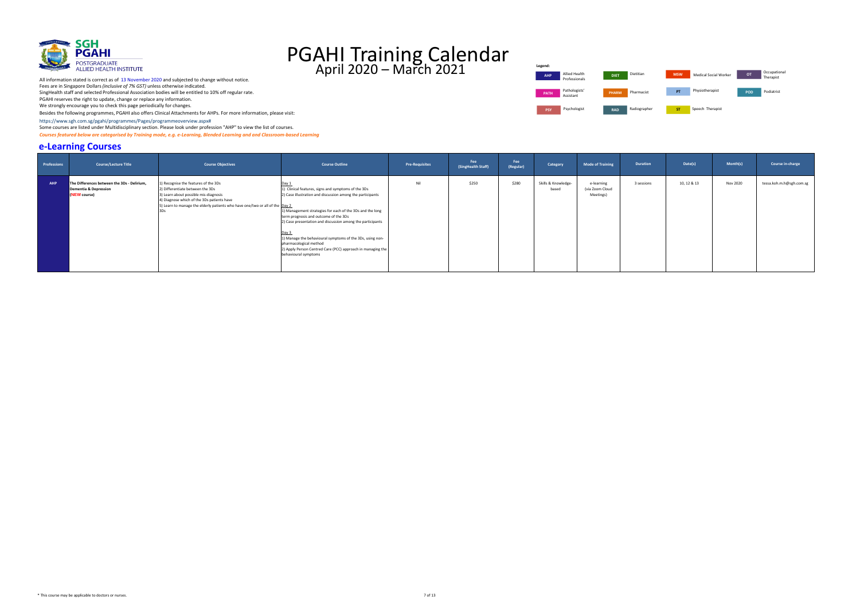

 [https://www.sgh.com.sg/pgahi/programmes/Pages/programmeoverview.aspx#](https://www.sgh.com.sg/pgahi/programmes/Pages/programmeoverview.aspx)

Some courses are listed under Multidisciplinary section. Please look under profession "AHP" to view the list of courses.

 *Courses featured below are categorised by Training mode, e.g. e-Learning, Blended Learning and and Classroom-based Learning* 

#### **e-Learning Courses**

 Besides the following programmes, PGAHI also offers Clinical Attachments for AHPs. For more inf[ormati](https://www.sgh.com.sg/pgahi/programmes/Pages/programmeoverview.aspx)on, please visit: We strongly encourage you to check this page periodically for changes.



| <b>Professions</b> | <b>Course/Lecture Title</b>                                                          | <b>Course Objectives</b>                                                                                                                                                                                                                        | <b>Course Outline</b>                                                                                                                                                                                                                                                                                                                                                                                                                                                                 | <b>Pre-Requisites</b> | Fee<br>(SingHealth Staff) | Fee<br>(Regular) | Category                     | <b>Mode of Training</b>                    | <b>Duration</b> | Date(s)     | Month(s) | Course in-charge         |
|--------------------|--------------------------------------------------------------------------------------|-------------------------------------------------------------------------------------------------------------------------------------------------------------------------------------------------------------------------------------------------|---------------------------------------------------------------------------------------------------------------------------------------------------------------------------------------------------------------------------------------------------------------------------------------------------------------------------------------------------------------------------------------------------------------------------------------------------------------------------------------|-----------------------|---------------------------|------------------|------------------------------|--------------------------------------------|-----------------|-------------|----------|--------------------------|
|                    |                                                                                      |                                                                                                                                                                                                                                                 |                                                                                                                                                                                                                                                                                                                                                                                                                                                                                       |                       |                           |                  |                              |                                            |                 |             |          |                          |
| <b>AHP</b>         | The Differences between the 3Ds - Delirium,<br>Dementia & Depression<br>(NEW course) | 1) Recognise the features of the 3Ds<br>2) Differentiate between the 3Ds<br>3) Learn about possible mis-diagnosis<br>4) Diagnose which of the 3Ds patients have<br>5) Learn to manage the elderly patients who have one/two or all of the Day 2 | Day 1<br>1) Clinical features, signs and symptoms of the 3Ds<br>2) Case illustration and discussion among the participants<br>1) Management strategies for each of the 3Ds and the long<br>term prognosis and outcome of the 3Ds<br>2) Case presentation and discussion among the participants<br>Day 3<br>1) Manage the behavioural symptoms of the 3Ds, using non-<br>pharmacological method<br>2) Apply Person Centred Care (PCC) approach in managing the<br>behavioural symptoms | Nil                   | \$250                     | \$280            | Skills & Knowledge-<br>based | e-learning<br>(via Zoom Cloud<br>Meetings) | 3 sessions      | 10, 12 & 13 | Nov 2020 | tessa.koh.m.h@sgh.com.sg |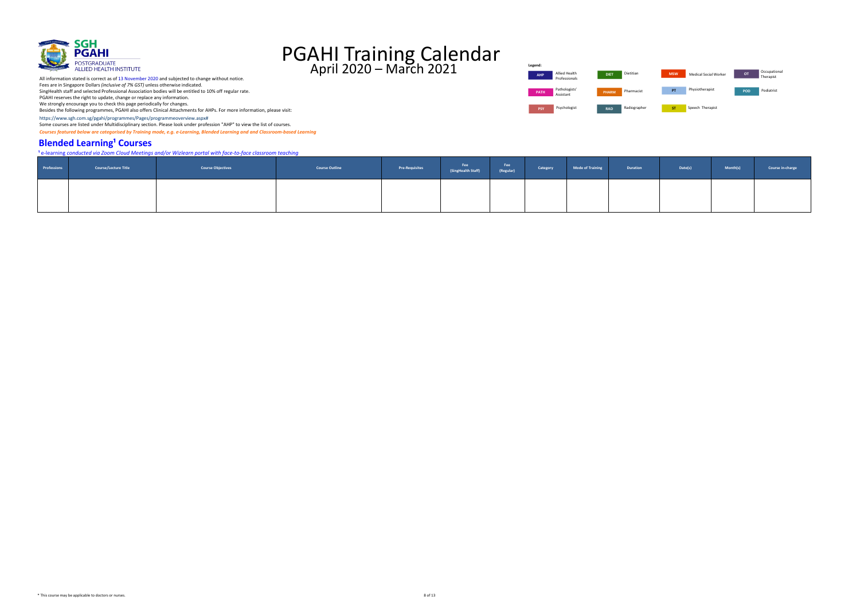[https://www.sgh.com.sg/pgahi/programmes/Pages/programmeoverview.aspx#](https://www.sgh.com.sg/pgahi/programmes/Pages/programmeoverview.aspx)

Some courses are listed under Multidisciplinary section. Please look under profession "AHP" to view the list of courses.

 *Courses featured below are categorised by Training mode, e.g. e-Learning, Blended Learning and and Classroom-based Learning* 

#### **Blended Learning<sup>1</sup> Courses**



## PGAHI Training Calendar April 2020 – March 2021

**¹** e-learning *conducted via Zoom Cloud Meetings and/or Wizlearn portal with face-to-face classroom teaching*

|             |                             | e-learning conducted vid zoom cloud ivieetings ana/or wiziedin portar with juce-to-juce classroom teaching |                       |                       |                           |                  |          |                         |          |
|-------------|-----------------------------|------------------------------------------------------------------------------------------------------------|-----------------------|-----------------------|---------------------------|------------------|----------|-------------------------|----------|
| Professions | <b>Course/Lecture Title</b> | <b>Course Objectives</b>                                                                                   | <b>Course Outline</b> | <b>Pre-Requisites</b> | Fee<br>(SingHealth Staff) | Fee<br>(Regular) | Category | <b>Mode of Training</b> | Duration |
|             |                             |                                                                                                            |                       |                       |                           |                  |          |                         |          |

| Fee<br>(Regular) | Category | <b>Mode of Training</b> | <b>Duration</b> | Date(s) | Month(s) | Course in-charge |
|------------------|----------|-------------------------|-----------------|---------|----------|------------------|
|                  |          |                         |                 |         |          |                  |

All information stated is correct as of 13 November 2020 and subjected to change without notice.

Fees are in Singapore Dollars *(inclusive of 7% GST)* unless otherwise indicated.

SingHealth staff and selected Professional Association bodies will be entitled to 10% off regular rate.

PGAHI reserves the right to update, change or replace any information.

We strongly encourage you to check this page periodically for changes.

| Legend:     |                                |              |              |            |                       |                |
|-------------|--------------------------------|--------------|--------------|------------|-----------------------|----------------|
| <b>AHP</b>  | Allied Health<br>Professionals | <b>DIET</b>  | Dietitian    | <b>MSW</b> | Medical Social Worker | O <sub>1</sub> |
| <b>PATH</b> | Pathologists'<br>Assistant     | <b>PHARM</b> | Pharmacist   | PT         | Physiotherapist       | PO             |
| <b>PSY</b>  | Psychologist                   | <b>RAD</b>   | Radiographer | <b>ST</b>  | Speech Therapist      |                |

| Allied Health<br>Professionals | <b>DIET</b>  | Dietitian    | <b>MSW</b> | Medical Social Worker | OT. | Occupational<br>Therapist |
|--------------------------------|--------------|--------------|------------|-----------------------|-----|---------------------------|
| Pathologists'<br>Assistant     | <b>PHARM</b> | Pharmacist   | PT         | Physiotherapist       | POD | Podiatrist                |
| Psychologist                   | <b>DAD</b>   | Radiographer | cт         | Sneech Theranist      |     |                           |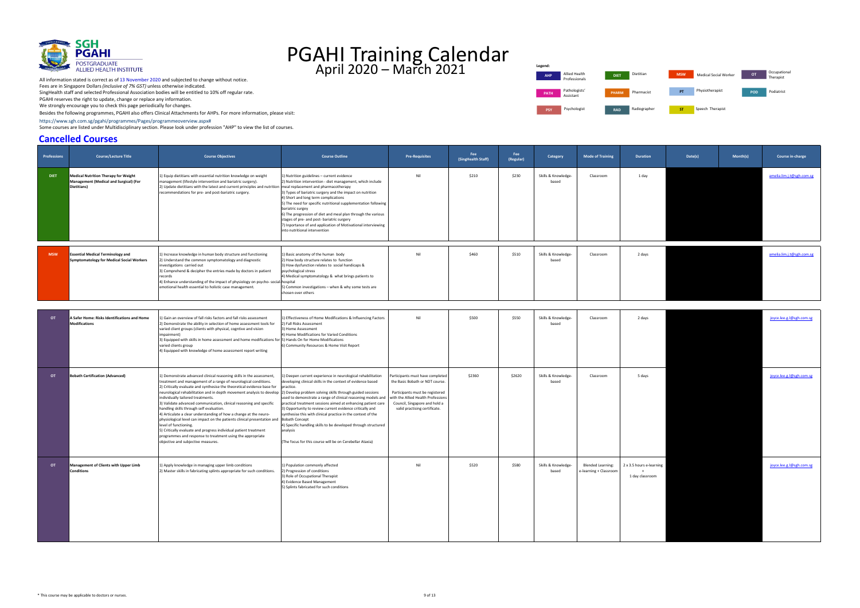[https://www.sgh.com.sg/pgahi/programmes/Pages/programmeoverview.aspx#](https://www.sgh.com.sg/pgahi/programmes/Pages/programmeoverview.aspx)

Some courses are listed under Multidisciplinary section. Please look under profession "AHP" to view the list of courses.

#### **Cancelled Courses**



## PGAHI Training Calendar April 2020 – March 2021

| <b>Professions</b> | <b>Course/Lecture Title</b>                                                                          | <b>Course Objectives</b>                                                                                                                                                                                                                                                                                                                                                                                                                                                                                                                                                                                                                                                                                                                                                                                                                                         | <b>Course Outline</b>                                                                                                                                                                                                                                                                                                                                                                                                                                                                                                                                                  | <b>Pre-Requisites</b>                                                                                                                                                                                          | Fee<br>(SingHealth Staff) | Fee<br>(Regular) | Category                     | <b>Mode of Training</b>                            | Duration                                    | Date(s) | Month(s) | Course in-charge          |
|--------------------|------------------------------------------------------------------------------------------------------|------------------------------------------------------------------------------------------------------------------------------------------------------------------------------------------------------------------------------------------------------------------------------------------------------------------------------------------------------------------------------------------------------------------------------------------------------------------------------------------------------------------------------------------------------------------------------------------------------------------------------------------------------------------------------------------------------------------------------------------------------------------------------------------------------------------------------------------------------------------|------------------------------------------------------------------------------------------------------------------------------------------------------------------------------------------------------------------------------------------------------------------------------------------------------------------------------------------------------------------------------------------------------------------------------------------------------------------------------------------------------------------------------------------------------------------------|----------------------------------------------------------------------------------------------------------------------------------------------------------------------------------------------------------------|---------------------------|------------------|------------------------------|----------------------------------------------------|---------------------------------------------|---------|----------|---------------------------|
| <b>DIET</b>        | <b>Medical Nutrition Therapy for Weight</b><br>Management (Medical and Surgical) (For<br>Dietitians) | 1) Equip dietitians with essential nutrition knowledge on weight<br>management (lifestyle intervention and bariatric surgery).<br>2) Update dietitians with the latest and current principles and nutrition   meal replacement and pharmacotherapy<br>recommendations for pre- and post-bariatric surgery.                                                                                                                                                                                                                                                                                                                                                                                                                                                                                                                                                       | 1) Nutrition guidelines - current evidence<br>2) Nutrition intervention - diet management, which include<br>3) Types of bariatric surgery and the impact on nutrition<br>4) Short and long term complications<br>5) The need for specific nutritional supplementation following<br>bariatric surgey<br>6) The progression of diet and meal plan through the various<br>stages of pre- and post- bariatric surgery<br>7) Inportance of and application of Motivational interviewing<br>into nutritional intervention                                                    | Nil                                                                                                                                                                                                            | \$210                     | \$230            | Skills & Knowledge-<br>based | Classroom                                          | 1 day                                       |         |          | amelia.lim.j.t@sgh.com.sg |
| <b>MSW</b>         | <b>Essential Medical Terminology and</b><br><b>Symptomatology for Medical Social Workers</b>         | 1) Increase knowledge in human body structure and functioning<br>2) Understand the common symptomatology and diagnostic<br>investigations carried out<br>3) Comprehend & decipher the entries made by doctors in patient<br>records<br>4) Enhance understanding of the impact of physiology on psycho-social hospital<br>emotional health essential to holistic case management.                                                                                                                                                                                                                                                                                                                                                                                                                                                                                 | 1) Basic anatomy of the human body<br>2) How body structure relates to function<br>3) How dysfunction relates to social handicaps &<br>psychological stress<br>4) Medical symptomatology & what brings patients to<br>5) Common investigations - when & why some tests are<br>chosen over others                                                                                                                                                                                                                                                                       | Nil                                                                                                                                                                                                            | \$460                     | \$510            | Skills & Knowledge-<br>based | Classroom                                          | 2 days                                      |         |          | amelia.lim.j.t@sgh.com.sg |
| OT                 | A Safer Home: Risks Identifications and Home<br><b>Modifications</b>                                 | 1) Gain an overview of fall risks factors and fall risks assessment<br>2) Demonstrate the ability in selection of home assessment tools for<br>varied client groups (clients with physical, cogntive and vision<br>impairment)<br>3) Equipped with skills in home assessment and home modifications for [5] Hands On for Home Modifications<br>varied clients group<br>4) Equipped with knowledge of home assessment report writing                                                                                                                                                                                                                                                                                                                                                                                                                              | 1) Effectiveness of Home Modifications & Influencing Factors<br>2) Fall Risks Assessment<br>3) Home Assessment<br>4) Home Modifications for Varied Conditions<br>6) Community Resources & Home Visit Report                                                                                                                                                                                                                                                                                                                                                            | Nil                                                                                                                                                                                                            | \$500                     | \$550            | Skills & Knowledge-<br>based | Classroom                                          | 2 days                                      |         |          | joyce.lee.g.l@sgh.com.sg  |
| OT .               | <b>Bobath Certification (Advanced)</b>                                                               | 1) Demonstrate advanced clinical reasoning skills in the assessment,<br>treatment and management of a range of neurological conditions.<br>2) Critically evaluate and synthesise the theoretical evidence base for<br>neurological rehabilitation and in depth movement analysis to develop [2] Develop problem solving skills through guided sessions<br>individually tailored treatments.<br>3) Validate advanced communication, clinical reasoning and specific<br>handling skills through self evaluation.<br>4) Articulate a clear understanding of how a change at the neuro-<br>physiological level can impact on the patients clinical presentation and<br>level of functioning.<br>5) Critically evaluate and progress individual patient treatment<br>programmes and response to treatment using the appropriate<br>objective and subjective measures. | 1) Deepen current experience in neurological rehabilitation<br>developing clinical skills in the context of evidence based<br>practice.<br>used to demonstrate a range of clinical reasoning models and<br>practical treatment sessions aimed at enhancing patient care<br>3) Opportunity to review current evidence critically and<br>synthesise this with clinical practice in the context of the<br><b>Bobath Concept</b><br>4) Specific handling skills to be developed through structured<br>analysis<br>(The focus for this course will be on Cerebellar Ataxia) | Participants must have completed<br>the Basic Bobath or NDT course.<br>Participants must be registered<br>with the Allied Health Professions<br>Council, Singapore and hold a<br>valid practising certificate. | \$2360                    | \$2620           | Skills & Knowledge-<br>based | Classroom                                          | 5 days                                      |         |          | joyce.lee.g.l@sgh.com.sg  |
| OT                 | Management of Clients with Upper Limb<br>conditions                                                  | 1) Apply knowledge in managing upper limb conditions<br>Master skills in fabricating splints appropriate for such conditions                                                                                                                                                                                                                                                                                                                                                                                                                                                                                                                                                                                                                                                                                                                                     | 1) Population commonly affected<br>Progression of conditions<br>3) Role of Occupational Therapist<br>4) Evidence Based Management<br>5) Splints fabricated for such conditions                                                                                                                                                                                                                                                                                                                                                                                         | Nil                                                                                                                                                                                                            | \$520                     | \$580            | Skills & Knowledge-<br>based | <b>Blended Learning:</b><br>e-learning + Classroom | 2 x 3.5 hours e-learning<br>1 day classroom |         |          | joyce.lee.g.l@sgh.com.sg  |

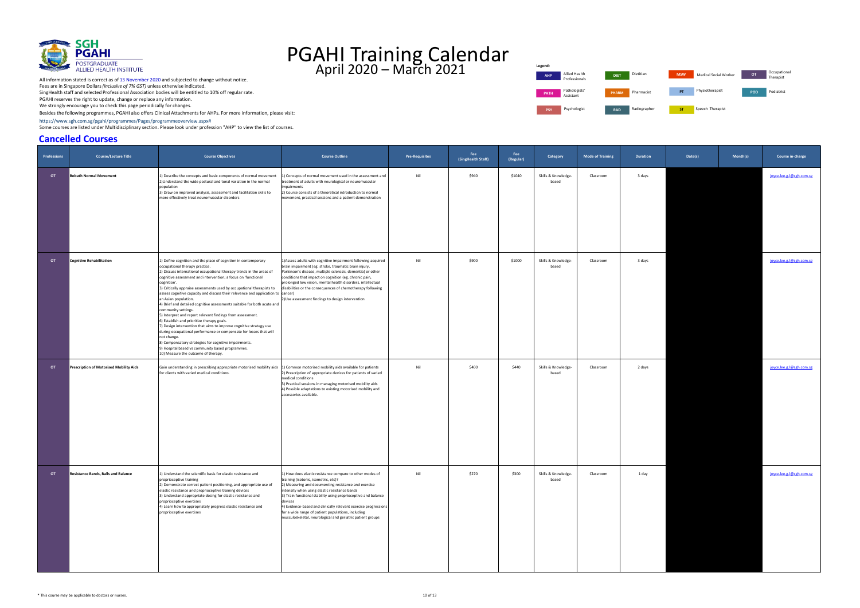[https://www.sgh.com.sg/pgahi/programmes/Pages/programmeoverview.aspx#](https://www.sgh.com.sg/pgahi/programmes/Pages/programmeoverview.aspx)

Some courses are listed under Multidisciplinary section. Please look under profession "AHP" to view the list of courses.



# PGAHI Training Calendar April 2020 – March 2021

#### **Cancelled Courses**



| Professions | <b>Course/Lecture Title</b>                | <b>Course Objectives</b>                                                                                                                                                                                                                                                                                                                                                                                                                                                                                                                                                                                                                                                                                                                                                                                                                                                                                                                                                   | <b>Course Outline</b>                                                                                                                                                                                                                                                                                                                                                                                                                                                         | <b>Pre-Requisites</b> | Fee<br>(SingHealth Staff) | Fee<br>(Regular) | Category                     | <b>Mode of Training</b> | Duration | Date(s) | Month(s) | Course in-charge         |
|-------------|--------------------------------------------|----------------------------------------------------------------------------------------------------------------------------------------------------------------------------------------------------------------------------------------------------------------------------------------------------------------------------------------------------------------------------------------------------------------------------------------------------------------------------------------------------------------------------------------------------------------------------------------------------------------------------------------------------------------------------------------------------------------------------------------------------------------------------------------------------------------------------------------------------------------------------------------------------------------------------------------------------------------------------|-------------------------------------------------------------------------------------------------------------------------------------------------------------------------------------------------------------------------------------------------------------------------------------------------------------------------------------------------------------------------------------------------------------------------------------------------------------------------------|-----------------------|---------------------------|------------------|------------------------------|-------------------------|----------|---------|----------|--------------------------|
| <b>OT</b>   | <b>Bobath Normal Movement</b>              | 1) Describe the concepts and basic components of normal movement<br>2) Understand the wide postural and tonal variation in the normal<br>population<br>3) Draw on improved analysis, assessment and facilitation skills to<br>more effectively treat neuromuscular disorders                                                                                                                                                                                                                                                                                                                                                                                                                                                                                                                                                                                                                                                                                               | 1) Concepts of normal movement used in the assessment and<br>treatment of adults with neurological or neuromuscular<br>impairments<br>2) Course consists of a theoretical introduction to normal<br>movement, practical sessions and a patient demonstration                                                                                                                                                                                                                  | Nil                   | \$940                     | \$1040           | Skills & Knowledge-<br>based | Classroom               | 3 days   |         |          | joyce.lee.g.l@sgh.com.sg |
| OT          | <b>Cognitive Rehabilitation</b>            | 1) Define cognition and the place of cognition in contemporary<br>occupational therapy practice.<br>2) Discuss international occupational therapy trends in the areas of<br>cognitive assessment and intervention; a focus on 'functional<br>cognition'.<br>3) Critically appraise assessments used by occupational therapists to<br>assess cognitive capacity and discuss their relevance and application to cancer)<br>an Asian population.<br>4) Brief and detailed cognitive assessments suitable for both acute and<br>community settings.<br>5) Interpret and report relevant findings from assessment.<br>6) Establish and prioritize therapy goals.<br>7) Design intervention that aims to improve cognitive strategy use<br>during occupational performance or compensate for losses that will<br>not change.<br>8) Compensatory strategies for cognitive impairments.<br>9) Hospital based vs community based programmes.<br>10) Measure the outcome of therapy. | 1) Assess adults with cognitive impairment following acquired<br>brain impairment (eg. stroke, traumatic brain injury,<br>Parkinson's disease, multiple sclerosis, dementia) or other<br>conditions that impact on cognition (eg. chronic pain,<br>prolonged low vision, mental health disorders, intellectual<br>disabilities or the consequences of chemotherapy following<br>2) Use assessment findings to design intervention                                             | Nil                   | \$900                     | \$1000           | Skills & Knowledge-<br>based | Classroom               | 3 days   |         |          | joyce.lee.g.l@sgh.com.sg |
| <b>OT</b>   | Prescription of Motorised Mobility Aids    | Gain understanding in prescribing appropriate motorised mobility aids 1) Common motorised mobility aids available for patients<br>for clients with varied medical conditions.                                                                                                                                                                                                                                                                                                                                                                                                                                                                                                                                                                                                                                                                                                                                                                                              | 2) Prescription of appropriate devices for patients of varied<br>medical conditions<br>3) Practical sessions in managing motorised mobility aids<br>4) Possible adaptations to existing motorised mobility and<br>accessories available.                                                                                                                                                                                                                                      | Nil                   | \$400                     | \$440            | Skills & Knowledge-<br>based | Classroom               | 2 days   |         |          | joyce.lee.g.l@sgh.com.sg |
| <b>OT</b>   | <b>Resistance Bands, Balls and Balance</b> | 1) Understand the scientific basis for elastic resistance and<br>proprioceptive training<br>2) Demonstrate correct patient positioning, and appropriate use of<br>elastic resistance and proprioceptive training devices<br>3) Understand appropriate dosing for elastic resistance and<br>proprioceptive exercises<br>4) Learn how to appropriately progress elastic resistance and<br>proprioceptive exercises                                                                                                                                                                                                                                                                                                                                                                                                                                                                                                                                                           | 1) How does elastic resistance compare to other modes of<br>training (isotonic, isometric, etc)?<br>2) Measuring and documenting resistance and exercise<br>intensity when using elastic resistance bands<br>3) Train functional stability using proprioceptive and balance<br>devices<br>4) Evidence-based and clinically relevant exercise progressions<br>for a wide range of patient populations, including<br>musculoskeletal, neurological and geriatric patient groups | Nil                   | \$270                     | \$300            | Skills & Knowledge-<br>based | Classroom               | 1 day    |         |          | joyce.lee.g.l@sgh.com.sg |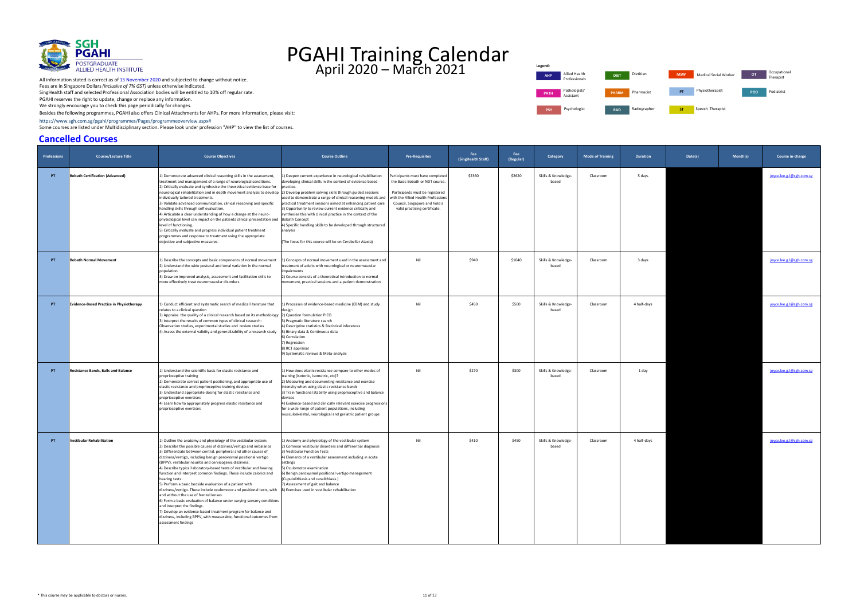[https://www.sgh.com.sg/pgahi/programmes/Pages/programmeoverview.aspx#](https://www.sgh.com.sg/pgahi/programmes/Pages/programmeoverview.aspx)

Some courses are listed under Multidisciplinary section. Please look under profession "AHP" to view the list of courses.



## PGAHI Training Calendar April 2020 – March 2021

#### **Cancelled Courses**





| <b>Professions</b> | <b>Course/Lecture Title</b>                     | <b>Course Objectives</b>                                                                                                                                                                                                                                                                                                                                                                                                                                                                                                                                                                                                                                                                                                                                                                                                                                                                                                                                                                                          | <b>Course Outline</b>                                                                                                                                                                                                                                                                                                                                                                                                                                                                                                            | <b>Pre-Requisites</b>                                                                                                                                                                                          | Fee<br>(SingHealth Staff) | Fee<br>(Regular) | Category                     | <b>Mode of Training</b> | <b>Duration</b> | Date(s) | Month(s) | Course in-charge         |
|--------------------|-------------------------------------------------|-------------------------------------------------------------------------------------------------------------------------------------------------------------------------------------------------------------------------------------------------------------------------------------------------------------------------------------------------------------------------------------------------------------------------------------------------------------------------------------------------------------------------------------------------------------------------------------------------------------------------------------------------------------------------------------------------------------------------------------------------------------------------------------------------------------------------------------------------------------------------------------------------------------------------------------------------------------------------------------------------------------------|----------------------------------------------------------------------------------------------------------------------------------------------------------------------------------------------------------------------------------------------------------------------------------------------------------------------------------------------------------------------------------------------------------------------------------------------------------------------------------------------------------------------------------|----------------------------------------------------------------------------------------------------------------------------------------------------------------------------------------------------------------|---------------------------|------------------|------------------------------|-------------------------|-----------------|---------|----------|--------------------------|
| PT                 | <b>Bobath Certification (Advanced)</b>          | 1) Demonstrate advanced clinical reasoning skills in the assessment,<br>treatment and management of a range of neurological conditions.<br>2) Critically evaluate and synthesise the theoretical evidence base for practice.<br>neurological rehabilitation and in depth movement analysis to develop [2] Develop problem solving skills through guided sessions<br>individually tailored treatments.<br>3) Validate advanced communication, clinical reasoning and specific<br>handling skills through self evaluation.<br>4) Articulate a clear understanding of how a change at the neuro-<br>physiological level can impact on the patients clinical presentation and Bobath Concept<br>level of functioning.<br>5) Critically evaluate and progress individual patient treatment<br>programmes and response to treatment using the appropriate<br>objective and subjective measures.                                                                                                                         | .) Deepen current experience in neurological rehabilitation<br>developing clinical skills in the context of evidence based<br>used to demonstrate a range of clinical reasoning models and<br>practical treatment sessions aimed at enhancing patient care<br>3) Opportunity to review current evidence critically and<br>synthesise this with clinical practice in the context of the<br>4) Specific handling skills to be developed through structured<br>analysis<br>(The focus for this course will be on Cerebellar Ataxia) | Participants must have completed<br>the Basic Bobath or NDT course.<br>Participants must be registered<br>with the Allied Health Professions<br>Council, Singapore and hold a<br>valid practising certificate. | \$2360                    | \$2620           | Skills & Knowledge-<br>based | Classroom               | 5 days          |         |          | joyce.lee.g.l@sgh.com.sg |
| PT                 | <b>Bobath Normal Movement</b>                   | 1) Describe the concepts and basic components of normal movement<br>2) Understand the wide postural and tonal variation in the normal<br>population<br>3) Draw on improved analysis, assessment and facilitation skills to<br>more effectively treat neuromuscular disorders                                                                                                                                                                                                                                                                                                                                                                                                                                                                                                                                                                                                                                                                                                                                      | .) Concepts of normal movement used in the assessment and<br>treatment of adults with neurological or neuromuscular<br>impairments<br>2) Course consists of a theoretical introduction to normal<br>movement, practical sessions and a patient demonstration                                                                                                                                                                                                                                                                     | Nil                                                                                                                                                                                                            | \$940                     | \$1040           | Skills & Knowledge-<br>based | Classroom               | 3 days          |         |          | joyce.lee.g.l@sgh.com.sg |
| PT.                | <b>Evidence-Based Practice in Physiotherapy</b> | 1) Conduct efficient and systematic search of medical literature that<br>relates to a clinical question<br>2) Appraise the quality of a clinical research based on its methodology 2) Question formulation PICO<br>3) Interpret the results of common types of clinical research:<br>Observation studies, experimental studies and review studies<br>4) Assess the external validity and generalizability of a research study                                                                                                                                                                                                                                                                                                                                                                                                                                                                                                                                                                                     | ) Processes of evidence-based medicine (EBM) and study<br>esign<br>3) Pragmatic literature search<br>4) Descriptive statistics & Statistical inferences<br>5) Binary data & Continuous data<br>6) Correlation<br>7) Regression<br>8) RCT appraisal<br>9) Systematic reviews & Meta-analysis                                                                                                                                                                                                                                      | Nil                                                                                                                                                                                                            | \$450                     | \$500            | Skills & Knowledge-<br>based | Classroom               | 4 half-days     |         |          | joyce.lee.g.l@sgh.com.sg |
| PT.                | <b>Resistance Bands, Balls and Balance</b>      | 1) Understand the scientific basis for elastic resistance and<br>proprioceptive training<br>2) Demonstrate correct patient positioning, and appropriate use of<br>elastic resistance and proprioceptive training devices<br>3) Understand appropriate dosing for elastic resistance and<br>proprioceptive exercises<br>4) Learn how to appropriately progress elastic resistance and<br>proprioceptive exercises                                                                                                                                                                                                                                                                                                                                                                                                                                                                                                                                                                                                  | 1) How does elastic resistance compare to other modes of<br>training (isotonic, isometric, etc)?<br>2) Measuring and documenting resistance and exercise<br>intensity when using elastic resistance bands<br>3) Train functional stability using proprioceptive and balance<br>devices<br>4) Evidence-based and clinically relevant exercise progressions<br>for a wide range of patient populations, including<br>musculoskeletal, neurological and geriatric patient groups                                                    | Nil                                                                                                                                                                                                            | \$270                     | \$300            | Skills & Knowledge-<br>based | Classroom               | 1 day           |         |          | joyce.lee.g.l@sgh.com.sg |
| PT                 | <b>Vestibular Rehabilitation</b>                | 1) Outline the anatomy and physiology of the vestibular system.<br>2) Describe the possible causes of dizziness/vertigo and imbalance<br>3) Differentiate between central, peripheral and other causes of<br>dizziness/vertigo, including benign paroxysmal positional vertigo<br>(BPPV), vestibular neuritis and cervicogenic dizziness.<br>4) Describe typical laboratory-based tests of vestibular and hearing<br>function and interpret common findings. These include calorics and<br>hearing tests.<br>5) Perform a basic bedside evaluation of a patient with<br>dizziness/vertigo. These include oculomotor and positional tests, with 8) Exercises used in vestibular rehabilitation<br>and without the use of frenzel lenses.<br>6) Form a basic evaluation of balance under varying sensory conditions<br>and interpret the findings.<br>7) Develop an evidence-based treatment program for balance and<br>dizziness, including BPPV, with measurable, functional outcomes from<br>assessment findings | 1) Anatomy and physiology of the vestibular system<br>2) Common vestibular disorders and differential diagnosis<br>3) Vestibular Function Tests<br>4) Elements of a vestibular assessment including in acute<br>settings<br>5) Oculomotor examination<br>) Benign paroxysmal positional vertigo management<br>(Cupulolithiasis and canalithiasis)<br>7) Assessment of gait and balance                                                                                                                                           | Nil                                                                                                                                                                                                            | \$410                     | \$450            | Skills & Knowledge-<br>based | Classroom               | 4 half-days     |         |          | joyce.lee.g.l@sgh.com.sg |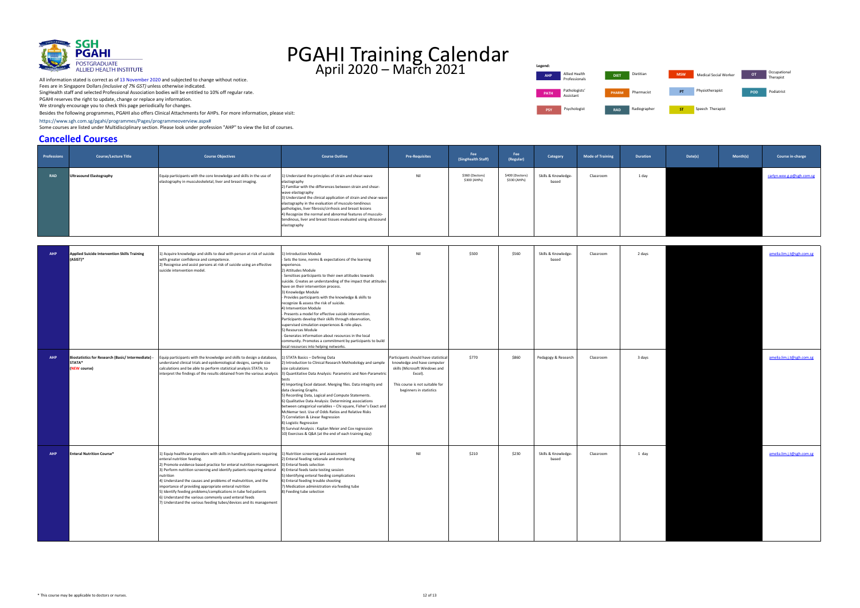[https://www.sgh.com.sg/pgahi/programmes/Pages/programmeoverview.aspx#](https://www.sgh.com.sg/pgahi/programmes/Pages/programmeoverview.aspx)

Some courses are listed under Multidisciplinary section. Please look under profession "AHP" to view the list of courses.



## PGAHI Training Calendar April 2020 – March 2021

#### **Cancelled Courses**

All information stated is correct as of 13 November 2020 and subjected to change without notice. Fees are in Singapore Dollars *(inclusive of 7% GST)* unless otherwise indicated. SingHealth staff and selected Professional Association bodies will be entitled to 10% off regular rate. PGAHI reserves the right to update, change or replace any information. We strongly encourage you to check this page periodically for changes.





**Legend:**

| <b>Professions</b> | <b>Course/Lecture Title</b>                                                  | <b>Course Objectives</b>                                                                                                                                                                                                                                                                                                                                                                                                                                                                                                                                                                                                                                                                                   | <b>Course Outline</b>                                                                                                                                                                                                                                                                                                                                                                                                                                                                                                                                                                                                                                                                                                                                                                                       | <b>Pre-Requisites</b>                                                                                                                                                        | Fee<br>(SingHealth Staff)       | Fee<br>(Regular)                | Category                     | <b>Mode of Training</b> | <b>Duration</b> | Date(s) | Month(s) | Course in-charge          |
|--------------------|------------------------------------------------------------------------------|------------------------------------------------------------------------------------------------------------------------------------------------------------------------------------------------------------------------------------------------------------------------------------------------------------------------------------------------------------------------------------------------------------------------------------------------------------------------------------------------------------------------------------------------------------------------------------------------------------------------------------------------------------------------------------------------------------|-------------------------------------------------------------------------------------------------------------------------------------------------------------------------------------------------------------------------------------------------------------------------------------------------------------------------------------------------------------------------------------------------------------------------------------------------------------------------------------------------------------------------------------------------------------------------------------------------------------------------------------------------------------------------------------------------------------------------------------------------------------------------------------------------------------|------------------------------------------------------------------------------------------------------------------------------------------------------------------------------|---------------------------------|---------------------------------|------------------------------|-------------------------|-----------------|---------|----------|---------------------------|
| <b>RAD</b>         | Ultrasound Elastography                                                      | Equip participants with the core knowledge and skills in the use of<br>elastography in musculoskeletal, liver and breast imaging.                                                                                                                                                                                                                                                                                                                                                                                                                                                                                                                                                                          | 1) Understand the principles of strain and shear-wave<br>elastography<br>2) Familiar with the differences between strain and shear-<br>wave elastography<br>3) Understand the clinical application of strain and shear-wave<br>elastography in the evaluation of musculo-tendinous<br>pathologies, liver fibrosis/cirrhosis and breast lesions<br>4) Recognize the normal and abnormal features of musculo-<br>tendinous, liver and breast tissues evaluated using ultrasound<br>elastography                                                                                                                                                                                                                                                                                                               | Nil                                                                                                                                                                          | \$360 (Doctors)<br>\$300 (AHPs) | \$400 (Doctors)<br>\$330 (AHPs) | Skills & Knowledge-<br>based | Classroom               | 1 day           |         |          | carlyn.wee.g.p@sgh.com.sg |
| <b>AHP</b>         | <b>Applied Suicide Intervention Skills Training</b><br>(ASIST)*              | 1) Acquire knowledge and skills to deal with person at risk of suicide<br>with greater confidence and competence.<br>2) Recognise and assist persons at risk of suicide using an effective<br>suicide intervention model.                                                                                                                                                                                                                                                                                                                                                                                                                                                                                  | L) Introduction Module<br>- Sets the tone, norms & expectations of the learning<br>experience.<br>2) Attitudes Module<br>Sensitises participants to their own attitudes towards<br>suicide. Creates an understanding of the impact that attitudes<br>have on their intervention process.<br>3) Knowledge Module<br>- Provides participants with the knowledge & skills to<br>recognize & assess the risk of suicide.<br>4) Intervention Module<br>- Presents a model for effective suicide intervention.<br>Participants develop their skills through observation,<br>supervised simulation experiences & role-plays.<br>5) Resources Module<br>- Generates information about resources in the local<br>community. Promotes a commitment by participants to build<br>local resources into helping networks. | Nil                                                                                                                                                                          | \$500                           | \$560                           | Skills & Knowledge-<br>based | Classroom               | 2 days          |         |          | amelia.lim.j.t@sgh.com.sg |
| <b>AHP</b>         | Biostatistics for Research (Basic/ Intermediate) -<br>STATA*<br>(NEW course) | Equip participants with the knowledge and skills to design a database, 1) STATA Basics - Defining Data<br>understand clinical trials and epidemiological designs, sample size<br>calculations and be able to perform statistical analysis STATA; to<br>interpret the findings of the results obtained from the various analysis 3) Quantitative Data Analysis: Parametric and Non-Parametric                                                                                                                                                                                                                                                                                                               | 2) Introduction to Clinical Research Methodology and sample<br>size calculations<br>4) Importing Excel dataset. Merging files. Data integrity and<br>data cleaning Graphs.<br>5) Recording Data, Logical and Compute Statements.<br>6) Qualitative Data Analysis: Determining associations<br>between categorical variables - Chi square, Fisher's Exact and<br>McNemar test. Use of Odds Ratios and Relative Risks<br>7) Correlation & Linear Regression<br>8) Logistic Regression<br>9) Survival Analysis: Kaplan Meier and Cox regression<br>10) Exercises & Q&A (at the end of each training day)                                                                                                                                                                                                       | Participants should have statistica<br>knowledge and have computer<br>skills (Microsoft Windows and<br>Excel).<br>This course is not suitable for<br>beginners in statistics | \$770                           | \$860                           | Pedagogy & Research          | Classroom               | 3 days          |         |          | amelia.lim.j.t@sgh.com.sg |
| <b>AHP</b>         | <b>Enteral Nutrition Course*</b>                                             | 1) Equip healthcare providers with skills in handling patients requiring 1) Nutrition screening and assessment<br>enteral nutrition feeding.<br>2) Promote evidence based practice for enteral nutrition management. 3) Enteral feeds selection<br>3) Perform nutrition screening and identify patients requiring enteral 4) Enteral feeds taste testing session<br>nutrition<br>4) Understand the causes and problems of malnutrition, and the<br>importance of providing appropriate enteral nutrition<br>5) Identify feeding problems/complications in tube fed patients<br>6) Understand the various commonly used enteral feeds<br>7) Understand the various feeding tubes/devices and its management | 2) Enteral feeding rationale and monitoring<br>5) Identifying enteral feeding complications<br>6) Enteral feeding trouble shooting<br>7) Medication administration via feeding tube<br>8) Feeding tube selection                                                                                                                                                                                                                                                                                                                                                                                                                                                                                                                                                                                            | Nil                                                                                                                                                                          | \$210                           | \$230                           | Skills & Knowledge-<br>based | Classroom               | 1 day           |         |          | amelia.lim.j.t@sgh.com.sg |